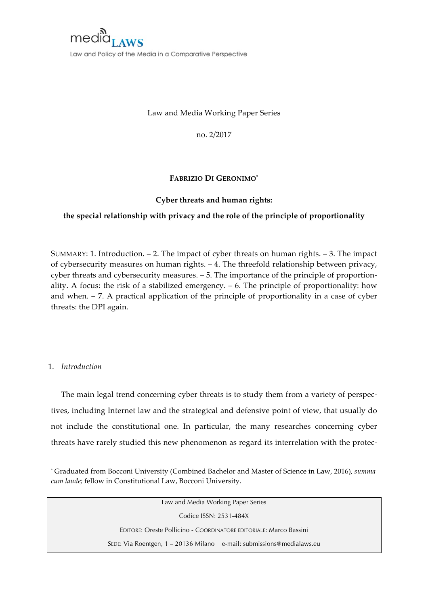

## Law and Media Working Paper Series

no. 2/2017

# **FABRIZIO DI GERONIMO\***

### **Cyber threats and human rights:**

# **the special relationship with privacy and the role of the principle of proportionality**

SUMMARY: 1. Introduction. – 2. The impact of cyber threats on human rights. – 3. The impact of cybersecurity measures on human rights. – 4. The threefold relationship between privacy, cyber threats and cybersecurity measures. – 5. The importance of the principle of proportionality. A focus: the risk of a stabilized emergency. – 6. The principle of proportionality: how and when. – 7. A practical application of the principle of proportionality in a case of cyber threats: the DPI again.

### 1. *Introduction*

<u> 1989 - Johann Stein, fransk politik (d. 1989)</u>

The main legal trend concerning cyber threats is to study them from a variety of perspectives, including Internet law and the strategical and defensive point of view, that usually do not include the constitutional one. In particular, the many researches concerning cyber threats have rarely studied this new phenomenon as regard its interrelation with the protec-

Law and Media Working Paper Series Codice ISSN: 2531-484X EDITORE: Oreste Pollicino - COORDINATORE EDITORIALE: Marco Bassini

SEDE: Via Roentgen, 1 – 20136 Milano e-mail: submissions@medialaws.eu

<sup>\*</sup> Graduated from Bocconi University (Combined Bachelor and Master of Science in Law, 2016), *summa cum laude;* fellow in Constitutional Law, Bocconi University.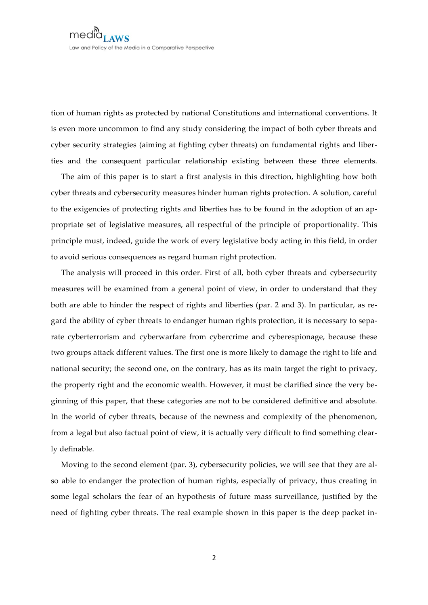tion of human rights as protected by national Constitutions and international conventions. It is even more uncommon to find any study considering the impact of both cyber threats and cyber security strategies (aiming at fighting cyber threats) on fundamental rights and liberties and the consequent particular relationship existing between these three elements.

The aim of this paper is to start a first analysis in this direction, highlighting how both cyber threats and cybersecurity measures hinder human rights protection. A solution, careful to the exigencies of protecting rights and liberties has to be found in the adoption of an appropriate set of legislative measures, all respectful of the principle of proportionality. This principle must, indeed, guide the work of every legislative body acting in this field, in order to avoid serious consequences as regard human right protection.

The analysis will proceed in this order. First of all, both cyber threats and cybersecurity measures will be examined from a general point of view, in order to understand that they both are able to hinder the respect of rights and liberties (par. 2 and 3). In particular, as regard the ability of cyber threats to endanger human rights protection, it is necessary to separate cyberterrorism and cyberwarfare from cybercrime and cyberespionage, because these two groups attack different values. The first one is more likely to damage the right to life and national security; the second one, on the contrary, has as its main target the right to privacy, the property right and the economic wealth. However, it must be clarified since the very beginning of this paper, that these categories are not to be considered definitive and absolute. In the world of cyber threats, because of the newness and complexity of the phenomenon, from a legal but also factual point of view, it is actually very difficult to find something clearly definable.

Moving to the second element (par. 3), cybersecurity policies, we will see that they are also able to endanger the protection of human rights, especially of privacy, thus creating in some legal scholars the fear of an hypothesis of future mass surveillance, justified by the need of fighting cyber threats. The real example shown in this paper is the deep packet in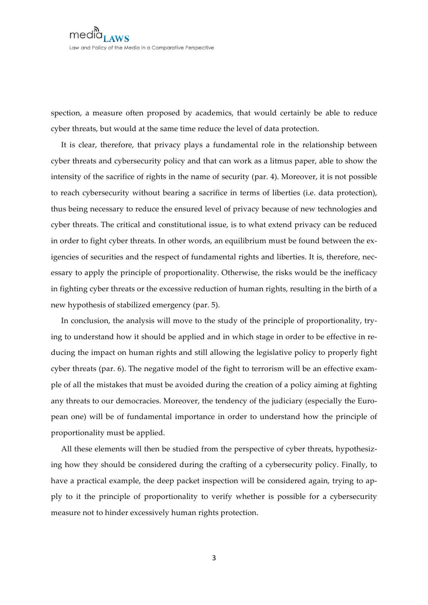spection, a measure often proposed by academics, that would certainly be able to reduce cyber threats, but would at the same time reduce the level of data protection.

It is clear, therefore, that privacy plays a fundamental role in the relationship between cyber threats and cybersecurity policy and that can work as a litmus paper, able to show the intensity of the sacrifice of rights in the name of security (par. 4). Moreover, it is not possible to reach cybersecurity without bearing a sacrifice in terms of liberties (i.e. data protection), thus being necessary to reduce the ensured level of privacy because of new technologies and cyber threats. The critical and constitutional issue, is to what extend privacy can be reduced in order to fight cyber threats. In other words, an equilibrium must be found between the exigencies of securities and the respect of fundamental rights and liberties. It is, therefore, necessary to apply the principle of proportionality. Otherwise, the risks would be the inefficacy in fighting cyber threats or the excessive reduction of human rights, resulting in the birth of a new hypothesis of stabilized emergency (par. 5).

In conclusion, the analysis will move to the study of the principle of proportionality, trying to understand how it should be applied and in which stage in order to be effective in reducing the impact on human rights and still allowing the legislative policy to properly fight cyber threats (par. 6). The negative model of the fight to terrorism will be an effective example of all the mistakes that must be avoided during the creation of a policy aiming at fighting any threats to our democracies. Moreover, the tendency of the judiciary (especially the European one) will be of fundamental importance in order to understand how the principle of proportionality must be applied.

All these elements will then be studied from the perspective of cyber threats, hypothesizing how they should be considered during the crafting of a cybersecurity policy. Finally, to have a practical example, the deep packet inspection will be considered again, trying to apply to it the principle of proportionality to verify whether is possible for a cybersecurity measure not to hinder excessively human rights protection.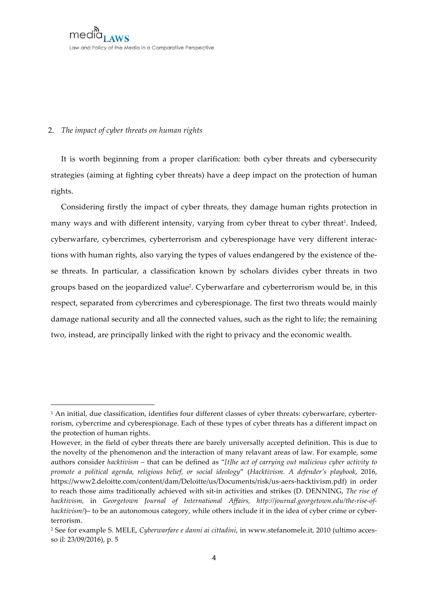$med^{\tiny{\textcolor{blue}{\textbf{N}}}}$ Law and Policy of the Media in a Comparative Perspective

#### 2. *The impact of cyber threats on human rights*

 

It is worth beginning from a proper clarification: both cyber threats and cybersecurity strategies (aiming at fighting cyber threats) have a deep impact on the protection of human rights.

Considering firstly the impact of cyber threats, they damage human rights protection in many ways and with different intensity, varying from cyber threat to cyber threat<sup>1</sup>. Indeed, cyberwarfare, cybercrimes, cyberterrorism and cyberespionage have very different interactions with human rights, also varying the types of values endangered by the existence of these threats. In particular, a classification known by scholars divides cyber threats in two groups based on the jeopardized value2. Cyberwarfare and cyberterrorism would be, in this respect, separated from cybercrimes and cyberespionage. The first two threats would mainly damage national security and all the connected values, such as the right to life; the remaining two, instead, are principally linked with the right to privacy and the economic wealth.

<sup>1</sup> An initial, due classification, identifies four different classes of cyber threats: cyberwarfare, cyberterrorism, cybercrime and cyberespionage. Each of these types of cyber threats has a different impact on the protection of human rights.

However, in the field of cyber threats there are barely universally accepted definition. This is due to the novelty of the phenomenon and the interaction of many relavant areas of law. For example, some authors consider *hacktivism* – that can be defined as "*[t]he act of carrying out malicious cyber activity to promote a political agenda, religious belief, or social ideology*" (*Hacktivism. A defender's playbook*, 2016, https://www2.deloitte.com/content/dam/Deloitte/us/Documents/risk/us-aers-hacktivism.pdf) in order to reach those aims traditionally achieved with sit-in activities and strikes (D. DENNING, *The rise of hacktivism,* in *Georgetown Journal of International Affairs, http://journal.georgetown.edu/the-rise-ofhacktivism*/)– to be an autonomous category, while others include it in the idea of cyber crime or cyberterrorism.

<sup>2</sup> See for example S. MELE, *Cyberwarfare e danni ai cittadini*, in www.stefanomele.it, 2010 (ultimo accesso il: 23/09/2016), p. 5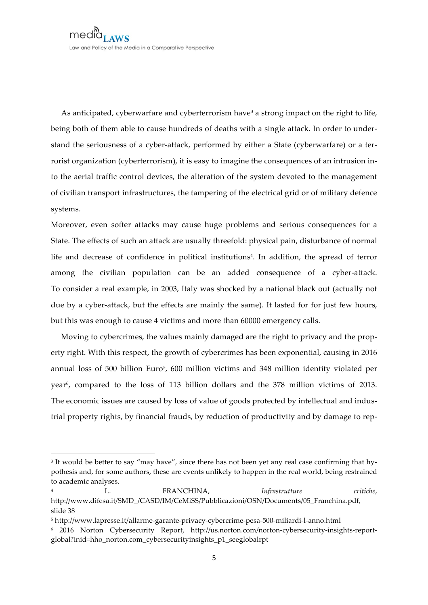As anticipated, cyberwarfare and cyberterrorism have<sup>3</sup> a strong impact on the right to life, being both of them able to cause hundreds of deaths with a single attack. In order to understand the seriousness of a cyber-attack, performed by either a State (cyberwarfare) or a terrorist organization (cyberterrorism), it is easy to imagine the consequences of an intrusion into the aerial traffic control devices, the alteration of the system devoted to the management of civilian transport infrastructures, the tampering of the electrical grid or of military defence systems.

Moreover, even softer attacks may cause huge problems and serious consequences for a State. The effects of such an attack are usually threefold: physical pain, disturbance of normal life and decrease of confidence in political institutions<sup>4</sup>. In addition, the spread of terror among the civilian population can be an added consequence of a cyber-attack. To consider a real example, in 2003, Italy was shocked by a national black out (actually not due by a cyber-attack, but the effects are mainly the same). It lasted for for just few hours, but this was enough to cause 4 victims and more than 60000 emergency calls.

Moving to cybercrimes, the values mainly damaged are the right to privacy and the property right. With this respect, the growth of cybercrimes has been exponential, causing in 2016 annual loss of 500 billion Euro<sup>5</sup>, 600 million victims and 348 million identity violated per year<sup>6</sup>, compared to the loss of 113 billion dollars and the 378 million victims of 2013. The economic issues are caused by loss of value of goods protected by intellectual and industrial property rights, by financial frauds, by reduction of productivity and by damage to rep-

<sup>&</sup>lt;sup>3</sup> It would be better to say "may have", since there has not been yet any real case confirming that hypothesis and, for some authors, these are events unlikely to happen in the real world, being restrained to academic analyses.

<sup>4</sup> L. FRANCHINA, *Infrastrutture critiche*, http://www.difesa.it/SMD\_/CASD/IM/CeMiSS/Pubblicazioni/OSN/Documents/05\_Franchina.pdf, slide 38

<sup>5</sup> http://www.lapresse.it/allarme-garante-privacy-cybercrime-pesa-500-miliardi-l-anno.html

<sup>6</sup> 2016 Norton Cybersecurity Report, http://us.norton.com/norton-cybersecurity-insights-reportglobal?inid=hho\_norton.com\_cybersecurityinsights\_p1\_seeglobalrpt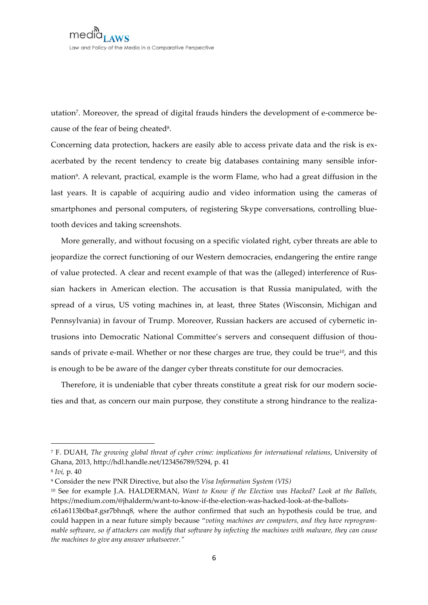utation7. Moreover, the spread of digital frauds hinders the development of e-commerce because of the fear of being cheated<sup>8</sup>.

Concerning data protection, hackers are easily able to access private data and the risk is exacerbated by the recent tendency to create big databases containing many sensible information<sup>9</sup>. A relevant, practical, example is the worm Flame, who had a great diffusion in the last years. It is capable of acquiring audio and video information using the cameras of smartphones and personal computers, of registering Skype conversations, controlling bluetooth devices and taking screenshots.

More generally, and without focusing on a specific violated right, cyber threats are able to jeopardize the correct functioning of our Western democracies, endangering the entire range of value protected. A clear and recent example of that was the (alleged) interference of Russian hackers in American election. The accusation is that Russia manipulated, with the spread of a virus, US voting machines in, at least, three States (Wisconsin, Michigan and Pennsylvania) in favour of Trump. Moreover, Russian hackers are accused of cybernetic intrusions into Democratic National Committee's servers and consequent diffusion of thousands of private e-mail. Whether or nor these charges are true, they could be true<sup>10</sup>, and this is enough to be be aware of the danger cyber threats constitute for our democracies.

Therefore, it is undeniable that cyber threats constitute a great risk for our modern societies and that, as concern our main purpose, they constitute a strong hindrance to the realiza-

<u> 1989 - Johann Stein, fransk politik (d. 1989)</u>

<sup>10</sup> See for example J.A. HALDERMAN, *Want to Know if the Election was Hacked? Look at the Ballots,*  https://medium.com/@jhalderm/want-to-know-if-the-election-was-hacked-look-at-the-ballots-

<sup>7</sup> F. DUAH, *The growing global threat of cyber crime: implications for international relations*, University of Ghana, 2013, http://hdl.handle.net/123456789/5294, p. 41

<sup>8</sup> *Ivi,* p. 40

<sup>9</sup> Consider the new PNR Directive, but also the *Visa Information System (VIS)*

c61a6113b0ba#.gsr7bhnq8*,* where the author confirmed that such an hypothesis could be true, and could happen in a near future simply because "*voting machines are computers, and they have reprogrammable software, so if attackers can modify that software by infecting the machines with malware, they can cause the machines to give any answer whatsoever."*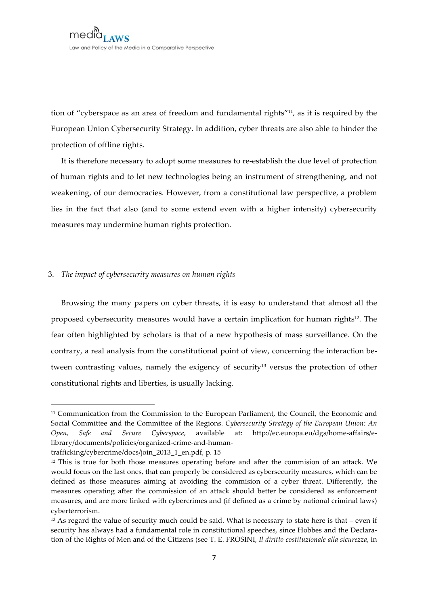tion of "cyberspace as an area of freedom and fundamental rights"11, as it is required by the European Union Cybersecurity Strategy. In addition, cyber threats are also able to hinder the protection of offline rights.

It is therefore necessary to adopt some measures to re-establish the due level of protection of human rights and to let new technologies being an instrument of strengthening, and not weakening, of our democracies. However, from a constitutional law perspective, a problem lies in the fact that also (and to some extend even with a higher intensity) cybersecurity measures may undermine human rights protection.

### 3. *The impact of cybersecurity measures on human rights*

Browsing the many papers on cyber threats, it is easy to understand that almost all the proposed cybersecurity measures would have a certain implication for human rights<sup>12</sup>. The fear often highlighted by scholars is that of a new hypothesis of mass surveillance. On the contrary, a real analysis from the constitutional point of view, concerning the interaction between contrasting values, namely the exigency of security13 versus the protection of other constitutional rights and liberties, is usually lacking.

 

<sup>11</sup> Communication from the Commission to the European Parliament, the Council, the Economic and Social Committee and the Committee of the Regions. *Cybersecurity Strategy of the European Union: An Open, Safe and Secure Cyberspace*, available at: http://ec.europa.eu/dgs/home-affairs/elibrary/documents/policies/organized-crime-and-human-

trafficking/cybercrime/docs/join\_2013\_1\_en.pdf, p. 15

<sup>&</sup>lt;sup>12</sup> This is true for both those measures operating before and after the commision of an attack. We would focus on the last ones, that can properly be considered as cybersecurity measures, which can be defined as those measures aiming at avoiding the commision of a cyber threat. Differently, the measures operating after the commission of an attack should better be considered as enforcement measures, and are more linked with cybercrimes and (if defined as a crime by national criminal laws) cyberterrorism.

<sup>&</sup>lt;sup>13</sup> As regard the value of security much could be said. What is necessary to state here is that – even if security has always had a fundamental role in constitutional speeches, since Hobbes and the Declaration of the Rights of Men and of the Citizens (see T. E. FROSINI, *Il diritto costituzionale alla sicurezza*, in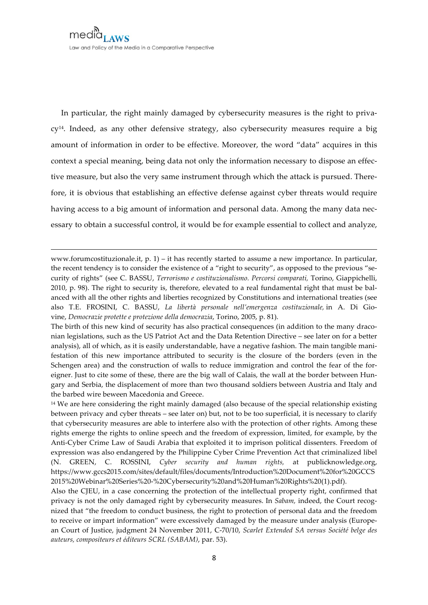In particular, the right mainly damaged by cybersecurity measures is the right to privacy14. Indeed, as any other defensive strategy, also cybersecurity measures require a big amount of information in order to be effective. Moreover, the word "data" acquires in this context a special meaning, being data not only the information necessary to dispose an effective measure, but also the very same instrument through which the attack is pursued. Therefore, it is obvious that establishing an effective defense against cyber threats would require having access to a big amount of information and personal data. Among the many data necessary to obtain a successful control, it would be for example essential to collect and analyze,

www.forumcostituzionale.it, p. 1) – it has recently started to assume a new importance. In particular, the recent tendency is to consider the existence of a "right to security", as opposed to the previous "security of rights" (see C. BASSU, *Terrorismo e costituzionalismo. Percorsi comparati,* Torino, Giappichelli, 2010, p. 98). The right to security is, therefore, elevated to a real fundamental right that must be balanced with all the other rights and liberties recognized by Constitutions and international treaties (see also T.E. FROSINI, C. BASSU, *La libertà personale nell'emergenza costituzionale,* in A. Di Giovine, *Democrazie protette e protezione della democrazia*, Torino, 2005, p. 81).

<u> 1989 - Andrea Santa Alemania, amerikana amerikana amerikana amerikana amerikana amerikana amerikana amerikan</u>

The birth of this new kind of security has also practical consequences (in addition to the many draconian legislations, such as the US Patriot Act and the Data Retention Directive – see later on for a better analysis), all of which, as it is easily understandable, have a negative fashion. The main tangible manifestation of this new importance attributed to security is the closure of the borders (even in the Schengen area) and the construction of walls to reduce immigration and control the fear of the foreigner. Just to cite some of these, there are the big wall of Calais, the wall at the border between Hungary and Serbia, the displacement of more than two thousand soldiers between Austria and Italy and the barbed wire beween Macedonia and Greece.

<sup>&</sup>lt;sup>14</sup> We are here considering the right mainly damaged (also because of the special relationship existing between privacy and cyber threats – see later on) but, not to be too superficial, it is necessary to clarify that cybersecurity measures are able to interfere also with the protection of other rights. Among these rights emerge the rights to online speech and the freedom of expression, limited, for example, by the Anti-Cyber Crime Law of Saudi Arabia that exploited it to imprison political dissenters. Freedom of expression was also endangered by the Philippine Cyber Crime Prevention Act that criminalized libel (N. GREEN, C. ROSSINI, *Cyber security and human rights,* at publicknowledge.org, https://www.gccs2015.com/sites/default/files/documents/Introduction%20Document%20for%20GCCS 2015%20Webinar%20Series%20-%20Cybersecurity%20and%20Human%20Rights%20(1).pdf).

Also the CJEU, in a case concerning the protection of the intellectual property right, confirmed that privacy is not the only damaged right by cybersecurity measures. In *Sabam,* indeed, the Court recognized that "the freedom to conduct business, the right to protection of personal data and the freedom to receive or impart information" were excessively damaged by the measure under analysis (European Court of Justice, judgment 24 November 2011, C-70/10, *Scarlet Extended SA versus Société belge des auteurs, compositeurs et éditeurs SCRL (SABAM)*, par. 53).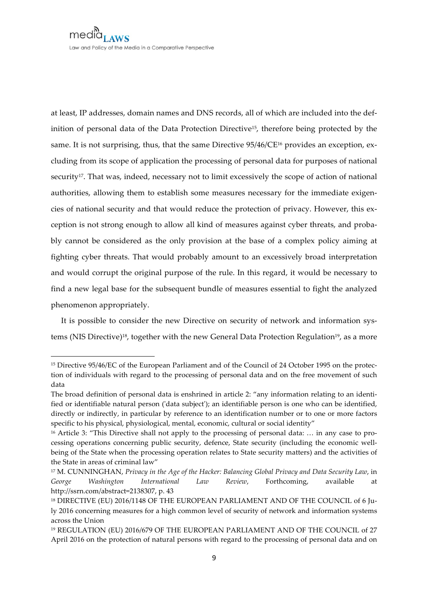at least, IP addresses, domain names and DNS records, all of which are included into the definition of personal data of the Data Protection Directive<sup>15</sup>, therefore being protected by the same. It is not surprising, thus, that the same Directive 95/46/CE<sup>16</sup> provides an exception, excluding from its scope of application the processing of personal data for purposes of national security<sup>17</sup>. That was, indeed, necessary not to limit excessively the scope of action of national authorities, allowing them to establish some measures necessary for the immediate exigencies of national security and that would reduce the protection of privacy. However, this exception is not strong enough to allow all kind of measures against cyber threats, and probably cannot be considered as the only provision at the base of a complex policy aiming at fighting cyber threats. That would probably amount to an excessively broad interpretation and would corrupt the original purpose of the rule. In this regard, it would be necessary to find a new legal base for the subsequent bundle of measures essential to fight the analyzed phenomenon appropriately.

It is possible to consider the new Directive on security of network and information systems (NIS Directive)<sup>18</sup>, together with the new General Data Protection Regulation<sup>19</sup>, as a more

<sup>15</sup> Directive 95/46/EC of the European Parliament and of the Council of 24 October 1995 on the protection of individuals with regard to the processing of personal data and on the free movement of such data

The broad definition of personal data is enshrined in article 2: "any information relating to an identified or identifiable natural person ('data subject'); an identifiable person is one who can be identified, directly or indirectly, in particular by reference to an identification number or to one or more factors specific to his physical, physiological, mental, economic, cultural or social identity"

<sup>16</sup> Article 3: "This Directive shall not apply to the processing of personal data: … in any case to processing operations concerning public security, defence, State security (including the economic wellbeing of the State when the processing operation relates to State security matters) and the activities of the State in areas of criminal law"

<sup>17</sup> M. CUNNINGHAN, *Privacy in the Age of the Hacker: Balancing Global Privacy and Data Security Law*, in *George Washington International Law Review*, Forthcoming, available at http://ssrn.com/abstract=2138307, p. 43

<sup>18</sup> DIRECTIVE (EU) 2016/1148 OF THE EUROPEAN PARLIAMENT AND OF THE COUNCIL of 6 July 2016 concerning measures for a high common level of security of network and information systems across the Union

<sup>19</sup> REGULATION (EU) 2016/679 OF THE EUROPEAN PARLIAMENT AND OF THE COUNCIL of 27 April 2016 on the protection of natural persons with regard to the processing of personal data and on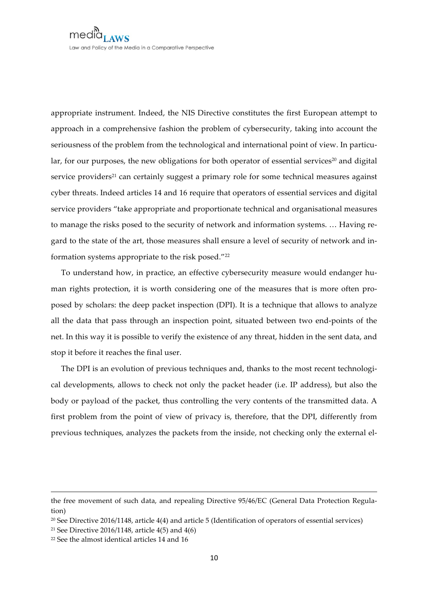appropriate instrument. Indeed, the NIS Directive constitutes the first European attempt to approach in a comprehensive fashion the problem of cybersecurity, taking into account the seriousness of the problem from the technological and international point of view. In particular, for our purposes, the new obligations for both operator of essential services<sup>20</sup> and digital service providers<sup>21</sup> can certainly suggest a primary role for some technical measures against cyber threats. Indeed articles 14 and 16 require that operators of essential services and digital service providers "take appropriate and proportionate technical and organisational measures to manage the risks posed to the security of network and information systems. … Having regard to the state of the art, those measures shall ensure a level of security of network and information systems appropriate to the risk posed."22

To understand how, in practice, an effective cybersecurity measure would endanger human rights protection, it is worth considering one of the measures that is more often proposed by scholars: the deep packet inspection (DPI). It is a technique that allows to analyze all the data that pass through an inspection point, situated between two end-points of the net. In this way it is possible to verify the existence of any threat, hidden in the sent data, and stop it before it reaches the final user.

The DPI is an evolution of previous techniques and, thanks to the most recent technological developments, allows to check not only the packet header (i.e. IP address), but also the body or payload of the packet, thus controlling the very contents of the transmitted data. A first problem from the point of view of privacy is, therefore, that the DPI, differently from previous techniques, analyzes the packets from the inside, not checking only the external el-

<u> 1989 - Andrea Santa Alemania, amerikana amerikana amerikana amerikana amerikana amerikana amerikana amerikan</u>

the free movement of such data, and repealing Directive 95/46/EC (General Data Protection Regulation)

<sup>20</sup> See Directive 2016/1148, article 4(4) and article 5 (Identification of operators of essential services)

<sup>21</sup> See Directive 2016/1148, article 4(5) and 4(6)

<sup>22</sup> See the almost identical articles 14 and 16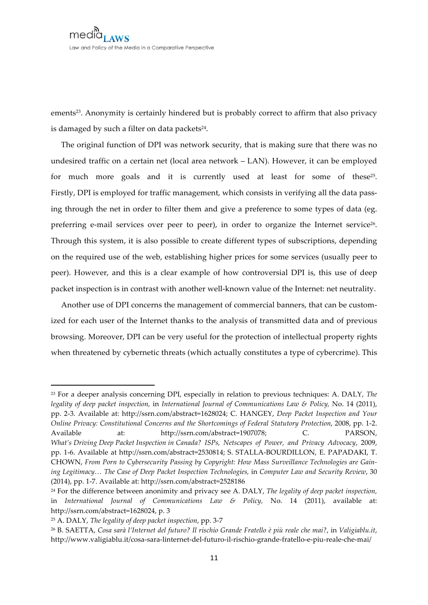ements<sup>23</sup>. Anonymity is certainly hindered but is probably correct to affirm that also privacy is damaged by such a filter on data packets $24$ .

The original function of DPI was network security, that is making sure that there was no undesired traffic on a certain net (local area network – LAN). However, it can be employed for much more goals and it is currently used at least for some of these<sup>25</sup>. Firstly, DPI is employed for traffic management, which consists in verifying all the data passing through the net in order to filter them and give a preference to some types of data (eg. preferring e-mail services over peer to peer), in order to organize the Internet service<sup>26</sup>. Through this system, it is also possible to create different types of subscriptions, depending on the required use of the web, establishing higher prices for some services (usually peer to peer). However, and this is a clear example of how controversial DPI is, this use of deep packet inspection is in contrast with another well-known value of the Internet: net neutrality.

Another use of DPI concerns the management of commercial banners, that can be customized for each user of the Internet thanks to the analysis of transmitted data and of previous browsing. Moreover, DPI can be very useful for the protection of intellectual property rights when threatened by cybernetic threats (which actually constitutes a type of cybercrime). This

<sup>23</sup> For a deeper analysis concerning DPI, especially in relation to previous techniques: A. DALY, *The legality of deep packet inspection,* in *International Journal of Communications Law & Policy,* No. 14 (2011), pp. 2-3. Available at: http://ssrn.com/abstract=1628024; C. HANGEY, *Deep Packet Inspection and Your Online Privacy: Constitutional Concerns and the Shortcomings of Federal Statutory Protection*, 2008, pp. 1-2. Available at: http://ssrn.com/abstract=1907078; C. PARSON, *What's Driving Deep Packet Inspection in Canada? ISPs, Netscapes of Power, and Privacy Advocacy*, 2009, pp. 1-6. Available at http://ssrn.com/abstract=2530814; S. STALLA-BOURDILLON, E. PAPADAKI, T. CHOWN, *From Porn to Cybersecurity Passing by Copyright: How Mass Surveillance Technologies are Gaining Legitimacy… The Case of Deep Packet Inspection Technologies,* in *Computer Law and Security Review*, 30 (2014), pp. 1-7. Available at: http://ssrn.com/abstract=2528186

<sup>24</sup> For the difference between anonimity and privacy see A. DALY, *The legality of deep packet inspection,*  in *International Journal of Communications Law & Policy,* No. 14 (2011), available at: http://ssrn.com/abstract=1628024, p. 3

<sup>25</sup> A. DALY, *The legality of deep packet inspection*, pp. 3-7

<sup>26</sup> B. SAETTA, *Cosa sarà l'Internet del futuro? Il rischio Grande Fratello è più reale che mai?*, in *Valigiablu.it*, http://www.valigiablu.it/cosa-sara-linternet-del-futuro-il-rischio-grande-fratello-e-piu-reale-che-mai/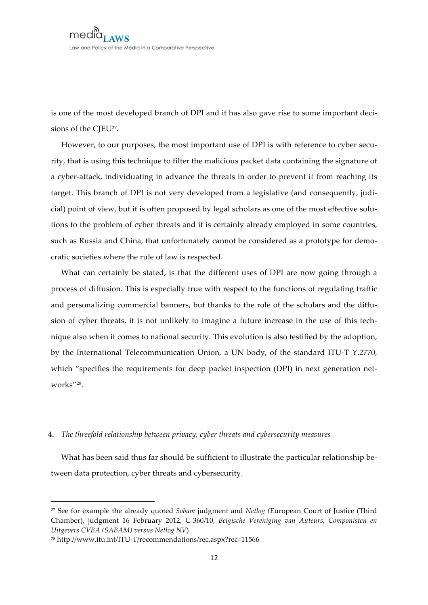is one of the most developed branch of DPI and it has also gave rise to some important decisions of the CJEU27.

However, to our purposes, the most important use of DPI is with reference to cyber security, that is using this technique to filter the malicious packet data containing the signature of a cyber-attack, individuating in advance the threats in order to prevent it from reaching its target. This branch of DPI is not very developed from a legislative (and consequently, judicial) point of view, but it is often proposed by legal scholars as one of the most effective solutions to the problem of cyber threats and it is certainly already employed in some countries, such as Russia and China, that unfortunately cannot be considered as a prototype for democratic societies where the rule of law is respected.

What can certainly be stated, is that the different uses of DPI are now going through a process of diffusion. This is especially true with respect to the functions of regulating traffic and personalizing commercial banners, but thanks to the role of the scholars and the diffusion of cyber threats, it is not unlikely to imagine a future increase in the use of this technique also when it comes to national security. This evolution is also testified by the adoption, by the International Telecommunication Union, a UN body, of the standard ITU-T Y.2770, which "specifies the requirements for deep packet inspection (DPI) in next generation networks"28.

### 4. *The threefold relationship between privacy, cyber threats and cybersecurity measures*

What has been said thus far should be sufficient to illustrate the particular relationship between data protection, cyber threats and cybersecurity.

<sup>27</sup> See for example the already quoted *Sabam* judgment and *Netlog (*European Court of Justice (Third Chamber), judgment 16 February 2012, C-360/10, *Belgische Vereniging van Auteurs, Componisten en Uitgevers CVBA (SABAM) versus Netlog NV*)

<sup>28</sup> http://www.itu.int/ITU-T/recommendations/rec.aspx?rec=11566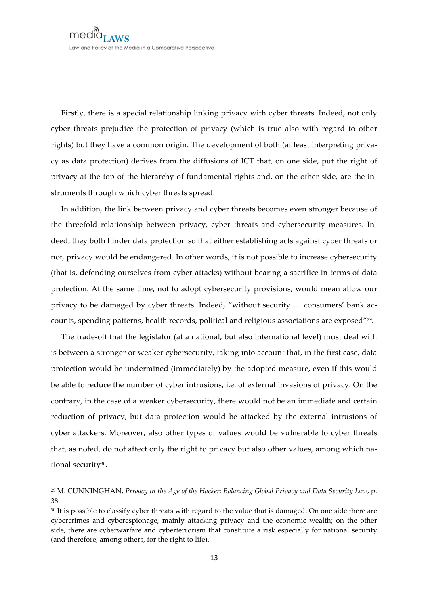Firstly, there is a special relationship linking privacy with cyber threats. Indeed, not only cyber threats prejudice the protection of privacy (which is true also with regard to other rights) but they have a common origin. The development of both (at least interpreting privacy as data protection) derives from the diffusions of ICT that, on one side, put the right of privacy at the top of the hierarchy of fundamental rights and, on the other side, are the instruments through which cyber threats spread.

In addition, the link between privacy and cyber threats becomes even stronger because of the threefold relationship between privacy, cyber threats and cybersecurity measures. Indeed, they both hinder data protection so that either establishing acts against cyber threats or not, privacy would be endangered. In other words, it is not possible to increase cybersecurity (that is, defending ourselves from cyber-attacks) without bearing a sacrifice in terms of data protection. At the same time, not to adopt cybersecurity provisions, would mean allow our privacy to be damaged by cyber threats. Indeed, "without security … consumers' bank accounts, spending patterns, health records, political and religious associations are exposed"29.

The trade-off that the legislator (at a national, but also international level) must deal with is between a stronger or weaker cybersecurity, taking into account that, in the first case, data protection would be undermined (immediately) by the adopted measure, even if this would be able to reduce the number of cyber intrusions, i.e. of external invasions of privacy. On the contrary, in the case of a weaker cybersecurity, there would not be an immediate and certain reduction of privacy, but data protection would be attacked by the external intrusions of cyber attackers. Moreover, also other types of values would be vulnerable to cyber threats that, as noted, do not affect only the right to privacy but also other values, among which national security<sup>30</sup>.

<sup>29</sup> M. CUNNINGHAN, *Privacy in the Age of the Hacker: Balancing Global Privacy and Data Security Law*, p. 38

<sup>&</sup>lt;sup>30</sup> It is possible to classify cyber threats with regard to the value that is damaged. On one side there are cybercrimes and cyberespionage, mainly attacking privacy and the economic wealth; on the other side, there are cyberwarfare and cyberterrorism that constitute a risk especially for national security (and therefore, among others, for the right to life).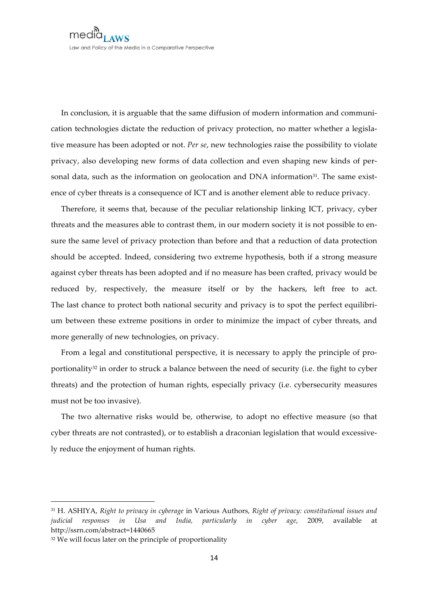In conclusion, it is arguable that the same diffusion of modern information and communication technologies dictate the reduction of privacy protection, no matter whether a legislative measure has been adopted or not. *Per se*, new technologies raise the possibility to violate privacy, also developing new forms of data collection and even shaping new kinds of personal data, such as the information on geolocation and DNA information<sup>31</sup>. The same existence of cyber threats is a consequence of ICT and is another element able to reduce privacy.

Therefore, it seems that, because of the peculiar relationship linking ICT, privacy, cyber threats and the measures able to contrast them, in our modern society it is not possible to ensure the same level of privacy protection than before and that a reduction of data protection should be accepted. Indeed, considering two extreme hypothesis, both if a strong measure against cyber threats has been adopted and if no measure has been crafted, privacy would be reduced by, respectively, the measure itself or by the hackers, left free to act. The last chance to protect both national security and privacy is to spot the perfect equilibrium between these extreme positions in order to minimize the impact of cyber threats, and more generally of new technologies, on privacy.

From a legal and constitutional perspective, it is necessary to apply the principle of proportionality<sup>32</sup> in order to struck a balance between the need of security (i.e. the fight to cyber threats) and the protection of human rights, especially privacy (i.e. cybersecurity measures must not be too invasive).

The two alternative risks would be, otherwise, to adopt no effective measure (so that cyber threats are not contrasted), or to establish a draconian legislation that would excessively reduce the enjoyment of human rights.

<sup>31</sup> H. ASHIYA, *Right to privacy in cyberage* in Various Authors, *Right of privacy: constitutional issues and judicial responses in Usa and India, particularly in cyber age*, 2009, available at http://ssrn.com/abstract=1440665

<sup>32</sup> We will focus later on the principle of proportionality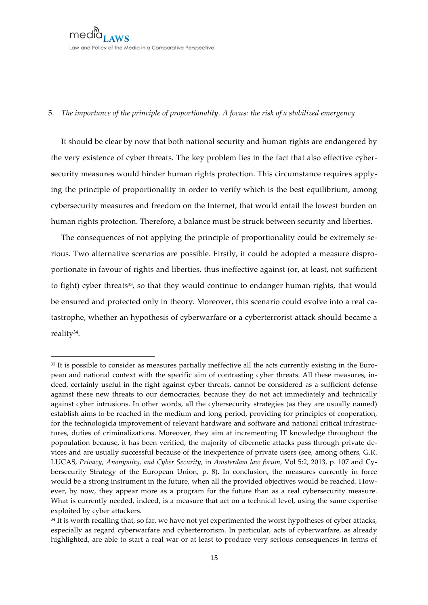$med^{\tiny{\textcolor{blue}{\textbf{M}}}}$ Law and Policy of the Media in a Comparative Perspective

 

### 5. *The importance of the principle of proportionality. A focus: the risk of a stabilized emergency*

It should be clear by now that both national security and human rights are endangered by the very existence of cyber threats. The key problem lies in the fact that also effective cybersecurity measures would hinder human rights protection. This circumstance requires applying the principle of proportionality in order to verify which is the best equilibrium, among cybersecurity measures and freedom on the Internet, that would entail the lowest burden on human rights protection. Therefore, a balance must be struck between security and liberties.

The consequences of not applying the principle of proportionality could be extremely serious. Two alternative scenarios are possible. Firstly, it could be adopted a measure disproportionate in favour of rights and liberties, thus ineffective against (or, at least, not sufficient to fight) cyber threats<sup>33</sup>, so that they would continue to endanger human rights, that would be ensured and protected only in theory. Moreover, this scenario could evolve into a real catastrophe, whether an hypothesis of cyberwarfare or a cyberterrorist attack should became a reality34.

<sup>33</sup> It is possible to consider as measures partially ineffective all the acts currently existing in the European and national context with the specific aim of contrasting cyber threats. All these measures, indeed, certainly useful in the fight against cyber threats, cannot be considered as a sufficient defense against these new threats to our democracies, because they do not act immediately and technically against cyber intrusions. In other words, all the cybersecurity strategies (as they are usually named) establish aims to be reached in the medium and long period, providing for principles of cooperation, for the technologicla improvement of relevant hardware and software and national critical infrastructures, duties of criminalizations. Moreover, they aim at incrementing IT knowledge throughout the popoulation because, it has been verified, the majority of cibernetic attacks pass through private devices and are usually successful because of the inexperience of private users (see, among others, G.R. LUCAS, *Privacy, Anonymity, and Cyber Security*, in *Amsterdam law forum,* Vol 5:2, 2013, p. 107 and Cybersecurity Strategy of the European Union, p. 8). In conclusion, the measures currently in force would be a strong instrument in the future, when all the provided objectives would be reached. However, by now, they appear more as a program for the future than as a real cybersecurity measure. What is currently needed, indeed, is a measure that act on a technical level, using the same expertise exploited by cyber attackers.

<sup>&</sup>lt;sup>34</sup> It is worth recalling that, so far, we have not yet experimented the worst hypotheses of cyber attacks, especially as regard cyberwarfare and cyberterrorism. In particular, acts of cyberwarfare, as already highlighted, are able to start a real war or at least to produce very serious consequences in terms of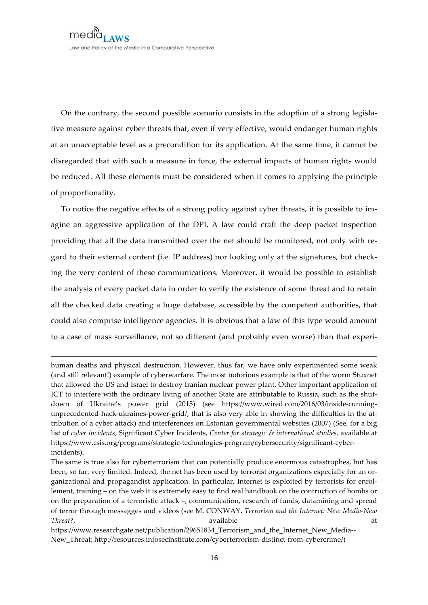On the contrary, the second possible scenario consists in the adoption of a strong legislative measure against cyber threats that, even if very effective, would endanger human rights at an unacceptable level as a precondition for its application. At the same time, it cannot be disregarded that with such a measure in force, the external impacts of human rights would be reduced. All these elements must be considered when it comes to applying the principle of proportionality.

To notice the negative effects of a strong policy against cyber threats, it is possible to imagine an aggressive application of the DPI. A law could craft the deep packet inspection providing that all the data transmitted over the net should be monitored, not only with regard to their external content (i.e. IP address) nor looking only at the signatures, but checking the very content of these communications. Moreover, it would be possible to establish the analysis of every packet data in order to verify the existence of some threat and to retain all the checked data creating a huge database, accessible by the competent authorities, that could also comprise intelligence agencies. It is obvious that a law of this type would amount to a case of mass surveillance, not so different (and probably even worse) than that experi-

 

human deaths and physical destruction. However, thus far, we have only experimented some weak (and still relevant!) example of cyberwarfare. The most notorious example is that of the worm Stuxnet that allowed the US and Israel to destroy Iranian nuclear power plant. Other important application of ICT to interfere with the ordinary living of another State are attributable to Russia, such as the shutdown of Ukraine's power grid (2015) (see https://www.wired.com/2016/03/inside-cunningunprecedented-hack-ukraines-power-grid/, that is also very able in showing the difficulties in the attribution of a cyber attack) and interferences on Estonian governmental websites (2007) (See, for a big list of *cyber incidents*, Significant Cyber Incidents, *Center for strategic & international studies,* available at https://www.csis.org/programs/strategic-technologies-program/cybersecurity/significant-cyberincidents).

The same is true also for cyberterrorism that can potentially produce enormous catastrophes, but has been, so far, very limited. Indeed, the net has been used by terrorist organizations especially for an organizational and propagandist application. In particular, Internet is exploited by terrorists for enrollement, training – on the web it is extremely easy to find real handbook on the contruction of bombs or on the preparation of a terroristic attack –, communication, research of funds, datamining and spread of terror through messagges and videos (see M. CONWAY, *Terrorism and the Internet: New Media-New Threat?,* and a structure at the attenuation of a structure at a structure at a structure at a structure at a structure at a structure at a structure at a structure at a structure at a structure at a structure at a struct

https://www.researchgate.net/publication/29651834 Terrorism\_and\_the\_Internet\_New\_Media--New\_Threat; http://resources.infosecinstitute.com/cyberterrorism-distinct-from-cybercrime/)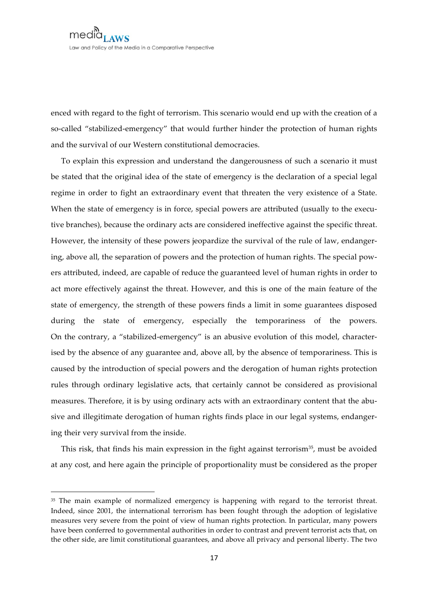enced with regard to the fight of terrorism. This scenario would end up with the creation of a so-called "stabilized-emergency" that would further hinder the protection of human rights and the survival of our Western constitutional democracies.

To explain this expression and understand the dangerousness of such a scenario it must be stated that the original idea of the state of emergency is the declaration of a special legal regime in order to fight an extraordinary event that threaten the very existence of a State. When the state of emergency is in force, special powers are attributed (usually to the executive branches), because the ordinary acts are considered ineffective against the specific threat. However, the intensity of these powers jeopardize the survival of the rule of law, endangering, above all, the separation of powers and the protection of human rights. The special powers attributed, indeed, are capable of reduce the guaranteed level of human rights in order to act more effectively against the threat. However, and this is one of the main feature of the state of emergency, the strength of these powers finds a limit in some guarantees disposed during the state of emergency, especially the temporariness of the powers. On the contrary, a "stabilized-emergency" is an abusive evolution of this model, characterised by the absence of any guarantee and, above all, by the absence of temporariness. This is caused by the introduction of special powers and the derogation of human rights protection rules through ordinary legislative acts, that certainly cannot be considered as provisional measures. Therefore, it is by using ordinary acts with an extraordinary content that the abusive and illegitimate derogation of human rights finds place in our legal systems, endangering their very survival from the inside.

This risk, that finds his main expression in the fight against terrorism $35$ , must be avoided at any cost, and here again the principle of proportionality must be considered as the proper

<sup>&</sup>lt;sup>35</sup> The main example of normalized emergency is happening with regard to the terrorist threat. Indeed, since 2001, the international terrorism has been fought through the adoption of legislative measures very severe from the point of view of human rights protection. In particular, many powers have been conferred to governmental authorities in order to contrast and prevent terrorist acts that, on the other side, are limit constitutional guarantees, and above all privacy and personal liberty. The two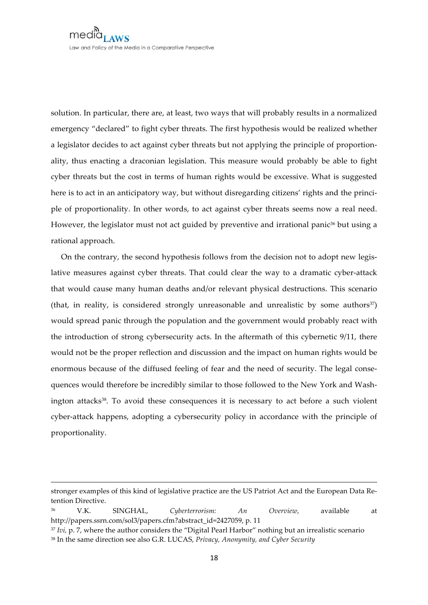solution. In particular, there are, at least, two ways that will probably results in a normalized emergency "declared" to fight cyber threats. The first hypothesis would be realized whether a legislator decides to act against cyber threats but not applying the principle of proportionality, thus enacting a draconian legislation. This measure would probably be able to fight cyber threats but the cost in terms of human rights would be excessive. What is suggested here is to act in an anticipatory way, but without disregarding citizens' rights and the principle of proportionality. In other words, to act against cyber threats seems now a real need. However, the legislator must not act guided by preventive and irrational panic<sup>36</sup> but using a rational approach.

On the contrary, the second hypothesis follows from the decision not to adopt new legislative measures against cyber threats. That could clear the way to a dramatic cyber-attack that would cause many human deaths and/or relevant physical destructions. This scenario (that, in reality, is considered strongly unreasonable and unrealistic by some authors $37$ ) would spread panic through the population and the government would probably react with the introduction of strong cybersecurity acts. In the aftermath of this cybernetic 9/11, there would not be the proper reflection and discussion and the impact on human rights would be enormous because of the diffused feeling of fear and the need of security. The legal consequences would therefore be incredibly similar to those followed to the New York and Washington attacks<sup>38</sup>. To avoid these consequences it is necessary to act before a such violent cyber-attack happens, adopting a cybersecurity policy in accordance with the principle of proportionality.

<u> 1989 - Andrea Santa Alemania, amerikana amerikana amerikana amerikana amerikana amerikana amerikana amerikan</u>

stronger examples of this kind of legislative practice are the US Patriot Act and the European Data Retention Directive.

<sup>36</sup> V.K. SINGHAL, *Cyberterrorism: An Overview*, available at http://papers.ssrn.com/sol3/papers.cfm?abstract\_id=2427059, p. 11

<sup>37</sup> *Ivi,* p. 7, where the author considers the "Digital Pearl Harbor" nothing but an irrealistic scenario <sup>38</sup> In the same direction see also G.R. LUCAS, *Privacy, Anonymity, and Cyber Security*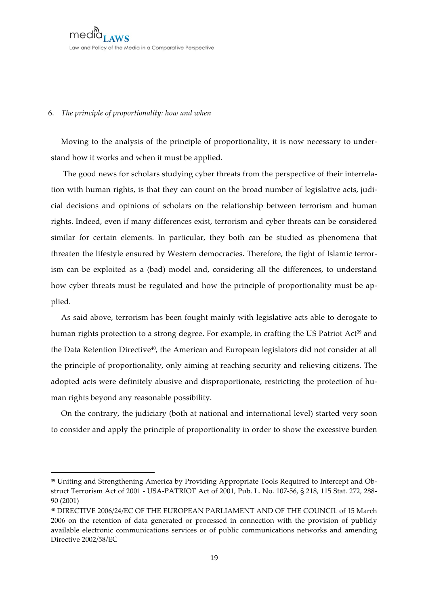media. Law and Policy of the Media in a Comparative Perspective

#### 6. *The principle of proportionality: how and when*

<u> 1989 - Johann Stein, fransk politik (d. 1989)</u>

Moving to the analysis of the principle of proportionality, it is now necessary to understand how it works and when it must be applied.

The good news for scholars studying cyber threats from the perspective of their interrelation with human rights, is that they can count on the broad number of legislative acts, judicial decisions and opinions of scholars on the relationship between terrorism and human rights. Indeed, even if many differences exist, terrorism and cyber threats can be considered similar for certain elements. In particular, they both can be studied as phenomena that threaten the lifestyle ensured by Western democracies. Therefore, the fight of Islamic terrorism can be exploited as a (bad) model and, considering all the differences, to understand how cyber threats must be regulated and how the principle of proportionality must be applied.

As said above, terrorism has been fought mainly with legislative acts able to derogate to human rights protection to a strong degree. For example, in crafting the US Patriot Act<sup>39</sup> and the Data Retention Directive<sup>40</sup>, the American and European legislators did not consider at all the principle of proportionality, only aiming at reaching security and relieving citizens. The adopted acts were definitely abusive and disproportionate, restricting the protection of human rights beyond any reasonable possibility.

On the contrary, the judiciary (both at national and international level) started very soon to consider and apply the principle of proportionality in order to show the excessive burden

<sup>39</sup> Uniting and Strengthening America by Providing Appropriate Tools Required to Intercept and Obstruct Terrorism Act of 2001 - USA-PATRIOT Act of 2001, Pub. L. No. 107-56, § 218, 115 Stat. 272, 288- 90 (2001)

<sup>40</sup> DIRECTIVE 2006/24/EC OF THE EUROPEAN PARLIAMENT AND OF THE COUNCIL of 15 March 2006 on the retention of data generated or processed in connection with the provision of publicly available electronic communications services or of public communications networks and amending Directive 2002/58/EC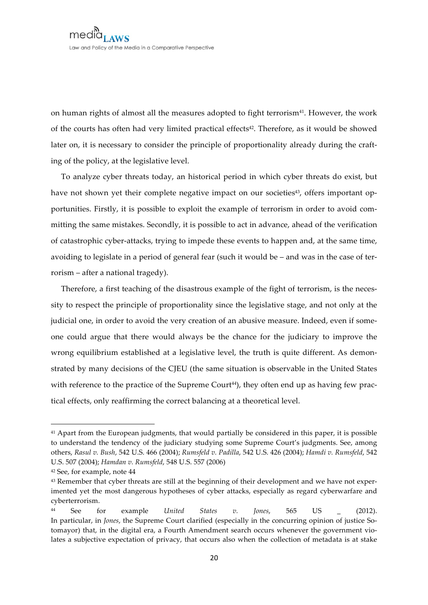on human rights of almost all the measures adopted to fight terrorism<sup>41</sup>. However, the work of the courts has often had very limited practical effects<sup>42</sup>. Therefore, as it would be showed later on, it is necessary to consider the principle of proportionality already during the crafting of the policy, at the legislative level.

To analyze cyber threats today, an historical period in which cyber threats do exist, but have not shown yet their complete negative impact on our societies<sup>43</sup>, offers important opportunities. Firstly, it is possible to exploit the example of terrorism in order to avoid committing the same mistakes. Secondly, it is possible to act in advance, ahead of the verification of catastrophic cyber-attacks, trying to impede these events to happen and, at the same time, avoiding to legislate in a period of general fear (such it would be – and was in the case of terrorism – after a national tragedy).

Therefore, a first teaching of the disastrous example of the fight of terrorism, is the necessity to respect the principle of proportionality since the legislative stage, and not only at the judicial one, in order to avoid the very creation of an abusive measure. Indeed, even if someone could argue that there would always be the chance for the judiciary to improve the wrong equilibrium established at a legislative level, the truth is quite different. As demonstrated by many decisions of the CJEU (the same situation is observable in the United States with reference to the practice of the Supreme Court<sup>44</sup>), they often end up as having few practical effects, only reaffirming the correct balancing at a theoretical level.

<sup>41</sup> Apart from the European judgments, that would partially be considered in this paper, it is possible to understand the tendency of the judiciary studying some Supreme Court's judgments. See, among others, *Rasul v. Bush*, 542 U.S. 466 (2004); *Rumsfeld v. Padilla*, 542 U.S. 426 (2004); *Hamdi v. Rumsfeld*, 542 U.S. 507 (2004); *Hamdan v. Rumsfeld*, 548 U.S. 557 (2006)

<sup>42</sup> See, for example, note 44

<sup>43</sup> Remember that cyber threats are still at the beginning of their development and we have not experimented yet the most dangerous hypotheses of cyber attacks, especially as regard cyberwarfare and cyberterrorism.

<sup>44</sup> See for example *United States v. Jones*, 565 US \_ (2012). In particular, in *Jones*, the Supreme Court clarified (especially in the concurring opinion of justice Sotomayor) that, in the digital era, a Fourth Amendment search occurs whenever the government violates a subjective expectation of privacy, that occurs also when the collection of metadata is at stake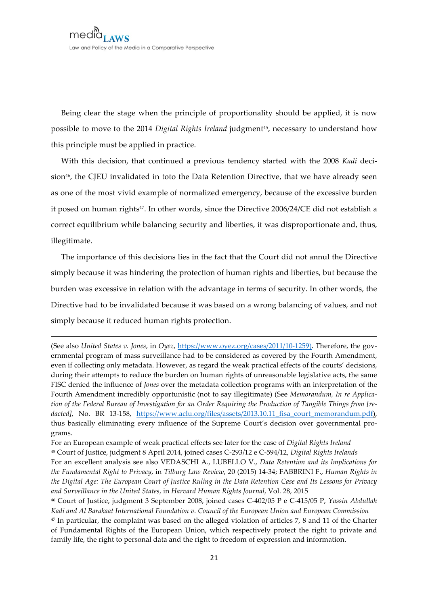Being clear the stage when the principle of proportionality should be applied, it is now possible to move to the 2014 *Digital Rights Ireland* judgment<sup>45</sup>, necessary to understand how this principle must be applied in practice.

With this decision, that continued a previous tendency started with the 2008 *Kadi* decision<sup>46</sup>, the CJEU invalidated in toto the Data Retention Directive, that we have already seen as one of the most vivid example of normalized emergency, because of the excessive burden it posed on human rights<sup>47</sup>. In other words, since the Directive 2006/24/CE did not establish a correct equilibrium while balancing security and liberties, it was disproportionate and, thus, illegitimate.

The importance of this decisions lies in the fact that the Court did not annul the Directive simply because it was hindering the protection of human rights and liberties, but because the burden was excessive in relation with the advantage in terms of security. In other words, the Directive had to be invalidated because it was based on a wrong balancing of values, and not simply because it reduced human rights protection.

<u> 1989 - Andrea Santa Alemania, amerikana amerikana amerikana amerikana amerikana amerikana amerikana amerikan</u>

For an European example of weak practical effects see later for the case of *Digital Rights Ireland*

<sup>(</sup>See also *United States v. Jones*, in *Oyez*, https://www.oyez.org/cases/2011/10-1259). Therefore, the governmental program of mass surveillance had to be considered as covered by the Fourth Amendment, even if collecting only metadata. However, as regard the weak practical effects of the courts' decisions, during their attempts to reduce the burden on human rights of unreasonable legislative acts, the same FISC denied the influence of *Jones* over the metadata collection programs with an interpretation of the Fourth Amendment incredibly opportunistic (not to say illegitimate) (See *Memorandum, In re Application of the Federal Bureau of Investigation for an Order Requiring the Production of Tangible Things from [re*dacted], No. BR 13-158, https://www.aclu.org/files/assets/2013.10.11 fisa court memorandum.pdf), thus basically eliminating every influence of the Supreme Court's decision over governmental programs.

<sup>45</sup> Court of Justice, judgment 8 April 2014, joined cases C-293/12 e C-594/12, *Digital Rights Irelands* For an excellent analysis see also VEDASCHI A., LUBELLO V., *Data Retention and its Implications for the Fundamental Right to Privacy*, in *Tilburg Law Review*, 20 (2015) 14-34; FABBRINI F., *Human Rights in the Digital Age: The European Court of Justice Ruling in the Data Retention Case and Its Lessons for Privacy and Surveillance in the United States*, in *Harvard Human Rights Journal*, Vol. 28, 2015

<sup>46</sup> Court of Justice, judgment 3 September 2008, joined cases C-402/05 P e C-415/05 P, *Yassin Abdullah Kadi and Al Barakaat International Foundation v. Council of the European Union and European Commission* <sup>47</sup> In particular, the complaint was based on the alleged violation of articles 7, 8 and 11 of the Charter of Fundamental Rights of the European Union, which respectively protect the right to private and family life, the right to personal data and the right to freedom of expression and information.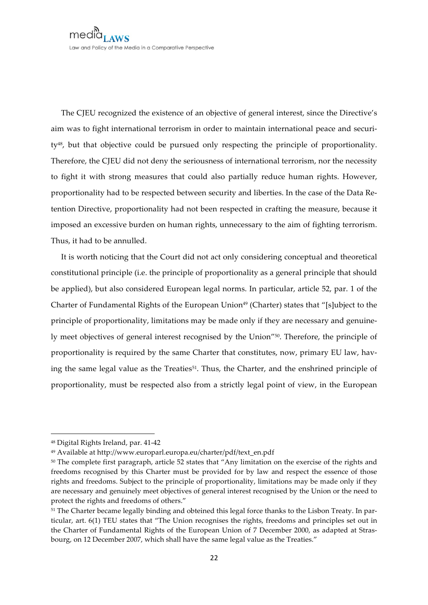The CJEU recognized the existence of an objective of general interest, since the Directive's aim was to fight international terrorism in order to maintain international peace and security<sup>48</sup>, but that objective could be pursued only respecting the principle of proportionality. Therefore, the CJEU did not deny the seriousness of international terrorism, nor the necessity to fight it with strong measures that could also partially reduce human rights. However, proportionality had to be respected between security and liberties. In the case of the Data Retention Directive, proportionality had not been respected in crafting the measure, because it imposed an excessive burden on human rights, unnecessary to the aim of fighting terrorism. Thus, it had to be annulled.

It is worth noticing that the Court did not act only considering conceptual and theoretical constitutional principle (i.e. the principle of proportionality as a general principle that should be applied), but also considered European legal norms. In particular, article 52, par. 1 of the Charter of Fundamental Rights of the European Union<sup>49</sup> (Charter) states that "[s]ubject to the principle of proportionality, limitations may be made only if they are necessary and genuinely meet objectives of general interest recognised by the Union"50. Therefore, the principle of proportionality is required by the same Charter that constitutes, now, primary EU law, having the same legal value as the Treaties<sup>51</sup>. Thus, the Charter, and the enshrined principle of proportionality, must be respected also from a strictly legal point of view, in the European

<sup>&</sup>lt;u> 1989 - Johann Stein, fransk politik (d. 1989)</u> <sup>48</sup> Digital Rights Ireland, par. 41-42

<sup>49</sup> Available at http://www.europarl.europa.eu/charter/pdf/text\_en.pdf

<sup>50</sup> The complete first paragraph, article 52 states that "Any limitation on the exercise of the rights and freedoms recognised by this Charter must be provided for by law and respect the essence of those rights and freedoms. Subject to the principle of proportionality, limitations may be made only if they are necessary and genuinely meet objectives of general interest recognised by the Union or the need to protect the rights and freedoms of others."

<sup>51</sup> The Charter became legally binding and obteined this legal force thanks to the Lisbon Treaty. In particular, art. 6(1) TEU states that "The Union recognises the rights, freedoms and principles set out in the Charter of Fundamental Rights of the European Union of 7 December 2000, as adapted at Strasbourg, on 12 December 2007, which shall have the same legal value as the Treaties."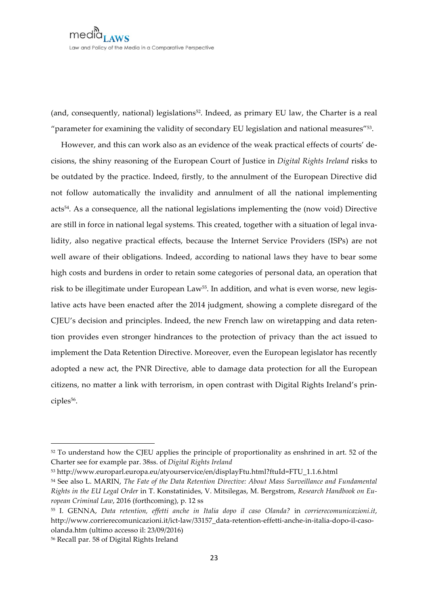(and, consequently, national) legislations<sup>52</sup>. Indeed, as primary EU law, the Charter is a real "parameter for examining the validity of secondary EU legislation and national measures"<sup>53</sup>.

However, and this can work also as an evidence of the weak practical effects of courts' decisions, the shiny reasoning of the European Court of Justice in *Digital Rights Ireland* risks to be outdated by the practice. Indeed, firstly, to the annulment of the European Directive did not follow automatically the invalidity and annulment of all the national implementing acts54. As a consequence, all the national legislations implementing the (now void) Directive are still in force in national legal systems. This created, together with a situation of legal invalidity, also negative practical effects, because the Internet Service Providers (ISPs) are not well aware of their obligations. Indeed, according to national laws they have to bear some high costs and burdens in order to retain some categories of personal data, an operation that risk to be illegitimate under European Law<sup>55</sup>. In addition, and what is even worse, new legislative acts have been enacted after the 2014 judgment, showing a complete disregard of the CJEU's decision and principles. Indeed, the new French law on wiretapping and data retention provides even stronger hindrances to the protection of privacy than the act issued to implement the Data Retention Directive. Moreover, even the European legislator has recently adopted a new act, the PNR Directive, able to damage data protection for all the European citizens, no matter a link with terrorism, in open contrast with Digital Rights Ireland's principles<sup>56</sup>.

<sup>52</sup> To understand how the CJEU applies the principle of proportionality as enshrined in art. 52 of the Charter see for example par. 38ss. of *Digital Rights Ireland*

<sup>53</sup> http://www.europarl.europa.eu/atyourservice/en/displayFtu.html?ftuId=FTU\_1.1.6.html

<sup>54</sup> See also L. MARIN, *The Fate of the Data Retention Directive: About Mass Surveillance and Fundamental Rights in the EU Legal Order* in T. Konstatinides, V. Mitsilegas, M. Bergstrom, *Research Handbook on European Criminal Law*, 2016 (forthcoming), p. 12 ss

<sup>55</sup> I. GENNA, *Data retention, effetti anche in Italia dopo il caso Olanda?* in *corrierecomunicazioni.it*, http://www.corrierecomunicazioni.it/ict-law/33157\_data-retention-effetti-anche-in-italia-dopo-il-casoolanda.htm (ultimo accesso il: 23/09/2016)

<sup>56</sup> Recall par. 58 of Digital Rights Ireland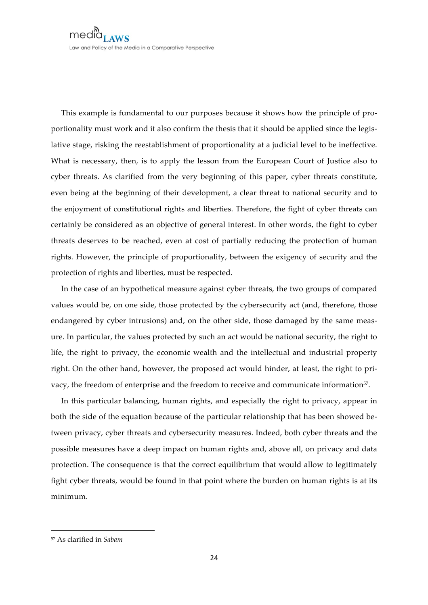This example is fundamental to our purposes because it shows how the principle of proportionality must work and it also confirm the thesis that it should be applied since the legislative stage, risking the reestablishment of proportionality at a judicial level to be ineffective. What is necessary, then, is to apply the lesson from the European Court of Justice also to cyber threats. As clarified from the very beginning of this paper, cyber threats constitute, even being at the beginning of their development, a clear threat to national security and to the enjoyment of constitutional rights and liberties. Therefore, the fight of cyber threats can certainly be considered as an objective of general interest. In other words, the fight to cyber threats deserves to be reached, even at cost of partially reducing the protection of human rights. However, the principle of proportionality, between the exigency of security and the protection of rights and liberties, must be respected.

In the case of an hypothetical measure against cyber threats, the two groups of compared values would be, on one side, those protected by the cybersecurity act (and, therefore, those endangered by cyber intrusions) and, on the other side, those damaged by the same measure. In particular, the values protected by such an act would be national security, the right to life, the right to privacy, the economic wealth and the intellectual and industrial property right. On the other hand, however, the proposed act would hinder, at least, the right to privacy, the freedom of enterprise and the freedom to receive and communicate information<sup>57</sup>.

In this particular balancing, human rights, and especially the right to privacy, appear in both the side of the equation because of the particular relationship that has been showed between privacy, cyber threats and cybersecurity measures. Indeed, both cyber threats and the possible measures have a deep impact on human rights and, above all, on privacy and data protection. The consequence is that the correct equilibrium that would allow to legitimately fight cyber threats, would be found in that point where the burden on human rights is at its minimum.

<sup>57</sup> As clarified in *Sabam*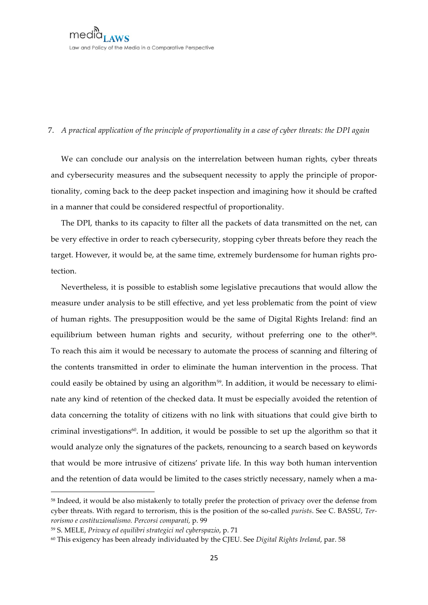$med^{\tiny{\textcolor{blue}{\textcolor{blue}{\textcolor{blue}{\textcolor{blue}{\textcolor{blue}{\textcolor{blue}{\textcolor{blue}{\textcolor{blue}{\textcolor{blue}{\textcolor{blue}{\textcolor{blue}{\textcolor{blue}{\textcolor{blue}{\textcolor{blue}{\textcolor{blue}{\textcolor{blue}{\textcolor{blue}{\textcolor{blue}{\textcolor{blue}{\textcolor{blue}{\textcolor{blue}{\textcolor{blue}{\textcolor{blue}{\textcolor{blue}{\textcolor{blue}{\textcolor{blue}{\textcolor{blue}{\textcolor{blue}{\textcolor{blue}{\textcolor{blue}{\textcolor{blue}{\textcolor{blue}{\textcolor{blue}{\textcolor{blue}{\textcolor{blue}{\textcolor{blue}{$ Law and Policy of the Media in a Comparative Perspective

## 7. *A practical application of the principle of proportionality in a case of cyber threats: the DPI again*

We can conclude our analysis on the interrelation between human rights, cyber threats and cybersecurity measures and the subsequent necessity to apply the principle of proportionality, coming back to the deep packet inspection and imagining how it should be crafted in a manner that could be considered respectful of proportionality.

The DPI, thanks to its capacity to filter all the packets of data transmitted on the net, can be very effective in order to reach cybersecurity, stopping cyber threats before they reach the target. However, it would be, at the same time, extremely burdensome for human rights protection.

Nevertheless, it is possible to establish some legislative precautions that would allow the measure under analysis to be still effective, and yet less problematic from the point of view of human rights. The presupposition would be the same of Digital Rights Ireland: find an equilibrium between human rights and security, without preferring one to the other<sup>58</sup>. To reach this aim it would be necessary to automate the process of scanning and filtering of the contents transmitted in order to eliminate the human intervention in the process. That could easily be obtained by using an algorithm<sup>59</sup>. In addition, it would be necessary to eliminate any kind of retention of the checked data. It must be especially avoided the retention of data concerning the totality of citizens with no link with situations that could give birth to criminal investigations $60$ . In addition, it would be possible to set up the algorithm so that it would analyze only the signatures of the packets, renouncing to a search based on keywords that would be more intrusive of citizens' private life. In this way both human intervention and the retention of data would be limited to the cases strictly necessary, namely when a ma-

<sup>58</sup> Indeed, it would be also mistakenly to totally prefer the protection of privacy over the defense from cyber threats. With regard to terrorism, this is the position of the so-called *purists*. See C. BASSU, *Terrorismo e costituzionalismo. Percorsi comparati,* p. 99

<sup>59</sup> S. MELE, *Privacy ed equilibri strategici nel cyberspazio*, p. 71

<sup>60</sup> This exigency has been already individuated by the CJEU. See *Digital Rights Ireland*, par. 58